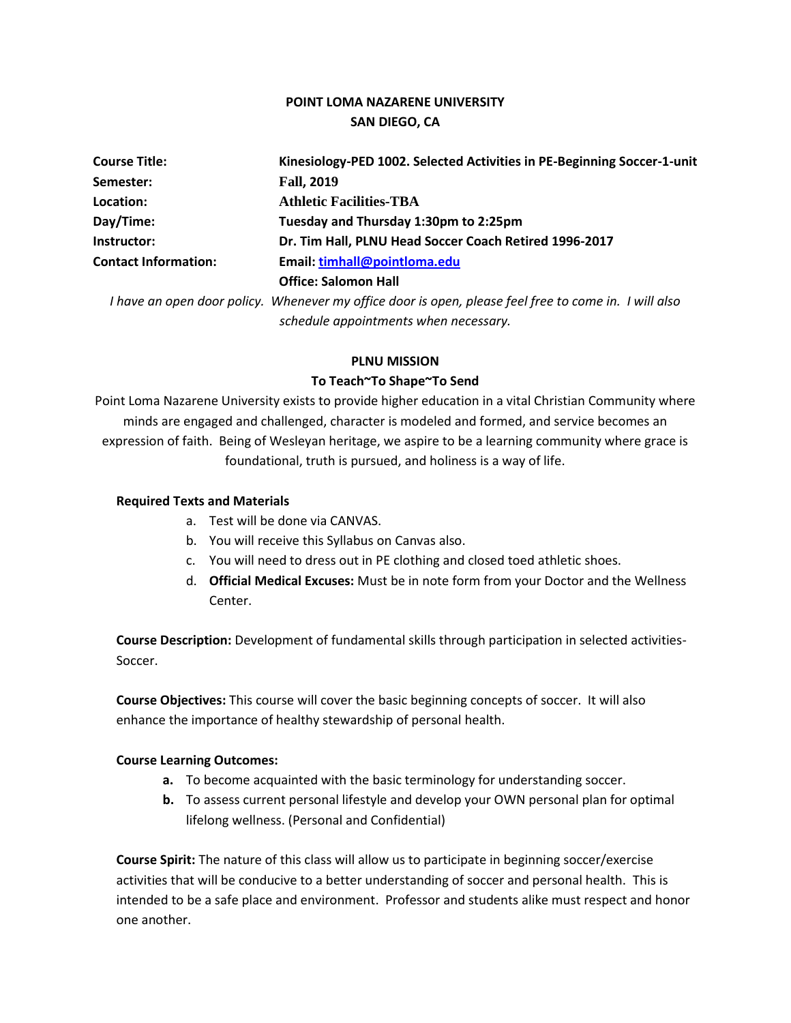# **POINT LOMA NAZARENE UNIVERSITY SAN DIEGO, CA**

| <b>Course Title:</b>        | Kinesiology-PED 1002. Selected Activities in PE-Beginning Soccer-1-unit |  |  |
|-----------------------------|-------------------------------------------------------------------------|--|--|
| Semester:                   | <b>Fall, 2019</b>                                                       |  |  |
| Location:                   | <b>Athletic Facilities-TBA</b>                                          |  |  |
| Day/Time:                   | Tuesday and Thursday 1:30pm to 2:25pm                                   |  |  |
| Instructor:                 | Dr. Tim Hall, PLNU Head Soccer Coach Retired 1996-2017                  |  |  |
| <b>Contact Information:</b> | Email: timhall@pointloma.edu                                            |  |  |
|                             | <b>Office: Salomon Hall</b>                                             |  |  |

*I have an open door policy. Whenever my office door is open, please feel free to come in. I will also schedule appointments when necessary.*

## **PLNU MISSION**

### **To Teach~To Shape~To Send**

Point Loma Nazarene University exists to provide higher education in a vital Christian Community where minds are engaged and challenged, character is modeled and formed, and service becomes an expression of faith. Being of Wesleyan heritage, we aspire to be a learning community where grace is foundational, truth is pursued, and holiness is a way of life.

## **Required Texts and Materials**

- a. Test will be done via CANVAS.
- b. You will receive this Syllabus on Canvas also.
- c. You will need to dress out in PE clothing and closed toed athletic shoes.
- d. **Official Medical Excuses:** Must be in note form from your Doctor and the Wellness Center.

**Course Description:** Development of fundamental skills through participation in selected activities-Soccer.

**Course Objectives:** This course will cover the basic beginning concepts of soccer. It will also enhance the importance of healthy stewardship of personal health.

## **Course Learning Outcomes:**

- **a.** To become acquainted with the basic terminology for understanding soccer.
- **b.** To assess current personal lifestyle and develop your OWN personal plan for optimal lifelong wellness. (Personal and Confidential)

**Course Spirit:** The nature of this class will allow us to participate in beginning soccer/exercise activities that will be conducive to a better understanding of soccer and personal health. This is intended to be a safe place and environment. Professor and students alike must respect and honor one another.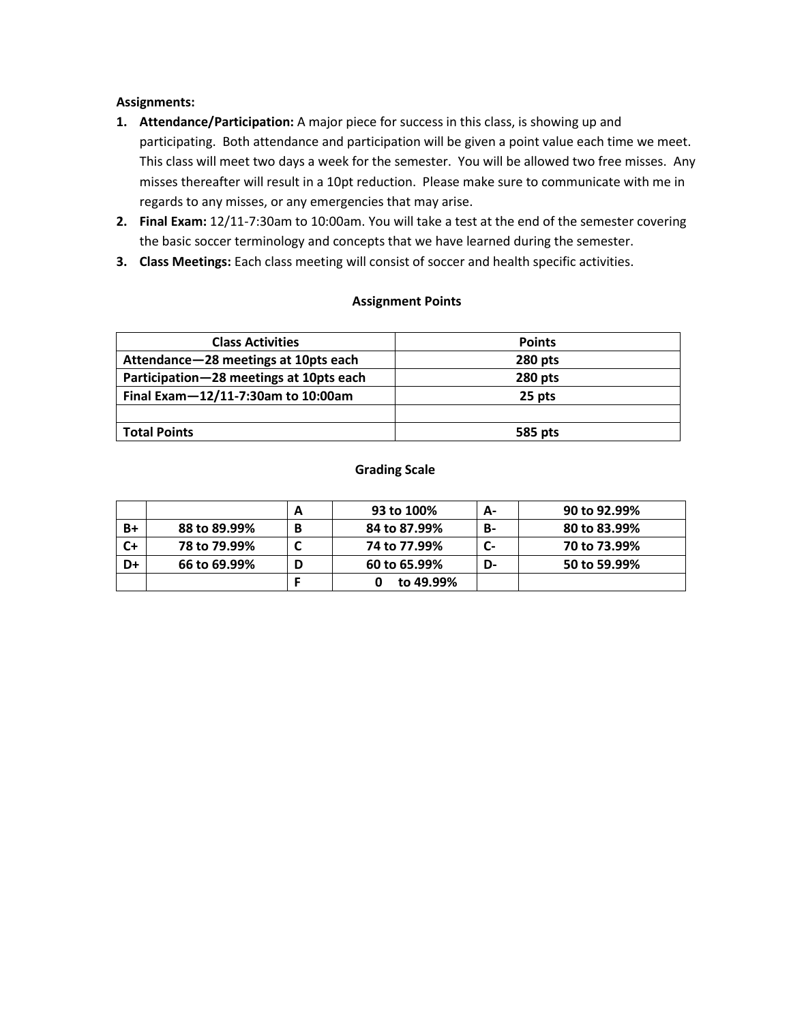### **Assignments:**

- **1. Attendance/Participation:** A major piece for success in this class, is showing up and participating. Both attendance and participation will be given a point value each time we meet. This class will meet two days a week for the semester. You will be allowed two free misses. Any misses thereafter will result in a 10pt reduction. Please make sure to communicate with me in regards to any misses, or any emergencies that may arise.
- **2. Final Exam:** 12/11-7:30am to 10:00am. You will take a test at the end of the semester covering the basic soccer terminology and concepts that we have learned during the semester.
- **3. Class Meetings:** Each class meeting will consist of soccer and health specific activities.

## **Assignment Points**

| <b>Class Activities</b>                 | <b>Points</b>  |  |  |
|-----------------------------------------|----------------|--|--|
| Attendance-28 meetings at 10pts each    | <b>280 pts</b> |  |  |
| Participation-28 meetings at 10pts each | <b>280 pts</b> |  |  |
| Final Exam-12/11-7:30am to 10:00am      | 25 pts         |  |  |
|                                         |                |  |  |
| <b>Total Points</b>                     | 585 pts        |  |  |

### **Grading Scale**

|    |              | A | 93 to 100%   | А- | 90 to 92.99% |
|----|--------------|---|--------------|----|--------------|
| B+ | 88 to 89.99% | В | 84 to 87.99% | -В | 80 to 83.99% |
| C+ | 78 to 79.99% |   | 74 to 77.99% |    | 70 to 73.99% |
| D+ | 66 to 69.99% | D | 60 to 65.99% | D- | 50 to 59.99% |
|    |              |   | to 49.99%    |    |              |